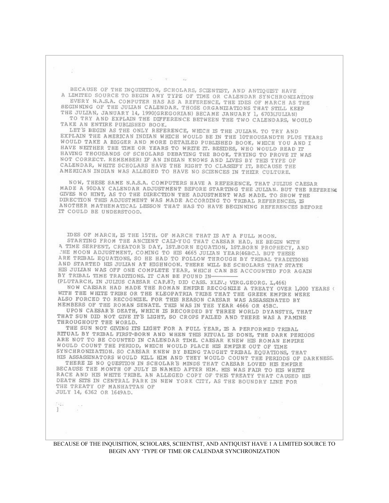BECAUSE OF THE INQUISITION, SCHOLARS, SCIENTIST, AND ANTIQUIST HAVE A LIMITED SOURCE TO BEGIN ANY TYPE OF TIME OR CALENDAR SYNCHRONIZATION EVERY N.A.S.A. COMPUTER HAS AS A REFERENCE, THE IDES OF MARCH AS THE BEGINNING OF THE JULIAN CALENDAR. THOSE ORGANIZATIONS THAT STILL KEEP

THE JULIAN, JANUARY 14, 1990(GREGORIAN) BECAME JANUARY 1, 6703(JULIAN) TO TRY AND EXPLAIN THE DIFFERENCE BETWEEN THE TWO CALENDARS, WOULD TAKE AN ENTIRE PUBLISHED BOOK.

LET'S BEGIN AS THE ONLY REFERENCE, WHICH IS THE JULIAN, TO TRY AND EXPLAIN THE AMERICAN INDIAN WHICH WOULD BE IN THE 10THOUSANDTH PLUS YEARS WOULD TAKE A BIGGER AND MORE DETAILED PUBLISHED BOOK, WHICH YOU AND I HAVE NETTHER THE TIME OR YEARS TO WRITE IT. BESIDES, WHO WOULD READ IT HAVING THOUSANDS OF SCHOLARS DEBATING THE BOOK, TRYING TO PROVE IT WAS NOT CORRECT. REMEMBER! IF AN INDIAN KNOWS AND LIVES BY THIS TYPE OF CALENDAR, WHITE SCHOLARS HAVE THE RIGHT TO CLASSIFY IT, BECAUSE THE AMERICAN INDIAN WAS ALLEGED TO HAVE NO SCIENCES IN THEIR CULTURE.

NOW, THESE SAME N.A.S.A. COMPUTERS HAVE A REFERENCE, THAT JULIUS CAESAR MADE A 90DAY CALENDAR ADJUSTMENT BEFORE STARTING THE JULIAN. BUT THE REFERENC GIVES NO HINT, AS TO THE DIRECTION THE ADJUSTMENT WAS MADE. TO SHOW THE DIRECTION THIS ADJUSTMENT WAS MADE ACCORDING TO TRIBAL REFERENCES, IS ANOTHER MATHEMATICAL LESSON THAT HAS TO HAVE BEGINNING REFERENCES BEFORE IT COULD BE UNDERSTOOD.

IDES OF MARCH, IS THE 15TH. OF MARCH THAT IS AT A FULL MOON. STARTING FROM THE ANCIENT CALI-YUG THAT CAESAR HAD, HE BEGIN WITH A TIME SERPENT, CREATOR'S DAY, IST.BORN EQUATION, IST.BORN PROPHECY, AND THE MOON ADJUSTMENT, COMING TO HIS 4665 JULIAN YEAR(46BC.), BUT THESE ARE TRIBAL EQUATIONS, SO HE HAD TO FOLLOW THROUGH BY TRIBAL TRADITIONS AND STARTED HIS JULIAN AT HIGHNOON. THERE WILL BE SCHOLARS THAT STATE HIS JULIAN WAS OFF ONE COMPLETE YEAR, WHICH CAN BE ACCOUNTED FOR AGAIN BY TRIBAL TIME TRADITIONS. IT CAN BE FOUND IN-

(PLUTARCH, IN JULIUS CAESAR CAP.87; DIO CASS. XLIV.; VIRG.GEORG. L,466) NOW CAESAR HAD MADE THE ROMAN EMPIRE RECOGNIZE A TREATY OVER 1,000 YEARS ( WITH THE WHITE TRIBE OR THE KLEOPATRIA TRIBE THAT THE GREEK EMPIRE WERE ALSO FORCED TO RECOGNIZE. FOR THIS REASON CAESAR WAS ASSASSINATED BY MEMBERS OF THE ROMAN SENATE. THIS WAS IN THE YEAR 4666 OR 45BC.

UPON CAESAR'S DEATH, WHICH IS RECORDED BY THREE WORLD DYANSTYS, THAT THAT SUN DID NOT GIVE IT'S LIGHT, SO CROPS FAILED AND THERE WAS A FAMINE THROUGHOUT THE WORLD.

THE SUN NOT GIVING ITS LIGHT FOR A FULL YEAR, IS A PERFORMED TRIBAL RITUAL BY TRIBAL FIRST-BORN AND WHEN THIS RITUAL IS DONE, THE DARK PERIODS ARE NOT TO BE COUNTED IN CALENDAR TIME. CAESAR KNEW HIS ROMAN EMPIRE WOULD COUNT THE PERIOD, WHICH WOULD PLACE HIS EMPIRE OUT OF TIME SYNCHRONIZATION. SO CAESAR KNEW BY BEING TAUGHT TRIBAL EQUATIONS, THAT HIS ASSASSINATORS WOULD KILL HIM AND THEY WOULD COUNT THE PERIODS OF DARKNESS.

THERE IS NO QUESTION IN SCHOLAR'S MINDS THAT CAESAR LOVED HIS EMPIRE BECAUSE THE MONTH OF JULY IS NAMED AFTER HIM. HIS WAS FAIR TO HIS WHITE RACE AND HIS WHITE TRIBE. AN ALLEGED COPY OF THIS TREATY THAT CAUSED HIS DEATH SITS IN CENTRAL PARK IN NEW YORK CITY, AS THE BOUNDRY LINE FOR THE TREATY OF MANHATTAN OF JULY 14, 6362 OR 1649AD.

 $\frac{1}{2}$ T.

 $\mathcal{O}(\mathcal{E}_{\text{max}}^{\text{max}})$ 

BECAUSE OF THE INQUISITION, SCHOLARS, SCIIENTIST, AND ANTIQUIST HAVE 1 A LIMITED SOURCE TO BEGIN ANY 'TYPE OF TIME OR CALENDAR SYNCHRONIZATION